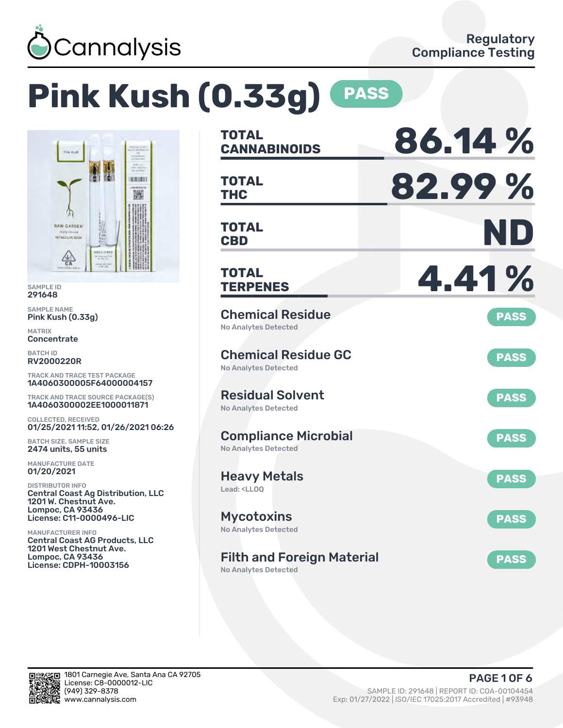

# **Pink Kush (0.33g) PASS**



SAMPLE ID 291648

SAMPLE NAME Pink Kush (0.33g)

MATRIX **Concentrate** 

BATCH ID RV2000220R

TRACK AND TRACE TEST PACKAGE 1A4060300005F64000004157

TRACK AND TRACE SOURCE PACKAGE(S) 1A4060300002EE1000011871

COLLECTED, RECEIVED 01/25/2021 11:52, 01/26/2021 06:26

BATCH SIZE, SAMPLE SIZE 2474 units, 55 units

MANUFACTURE DATE 01/20/2021

DISTRIBUTOR INFO Central Coast Ag Distribution, LLC 1201 W. Chestnut Ave. Lompoc, CA 93436 License: C11-0000496-LIC

MANUFACTURER INFO Central Coast AG Products, LLC 1201 West Chestnut Ave. Lompoc, CA 93436 License: CDPH-10003156

| <b>TOTAL</b><br><b>CANNABINOIDS</b>                                    | 86.14 %     |
|------------------------------------------------------------------------|-------------|
| <b>TOTAL</b><br><b>THC</b>                                             | 82.99%      |
| <b>TOTAL</b><br><b>CBD</b>                                             | ND          |
| <b>TOTAL</b><br><b>TERPENES</b>                                        | 4.41%       |
| <b>Chemical Residue</b><br>No Analytes Detected                        | <b>PASS</b> |
| <b>Chemical Residue GC</b><br><b>No Analytes Detected</b>              | <b>PASS</b> |
| <b>Residual Solvent</b><br><b>No Analytes Detected</b>                 | <b>PASS</b> |
| <b>Compliance Microbial</b><br><b>No Analytes Detected</b>             | <b>PASS</b> |
| <b>Heavy Metals</b><br>Lead: <ll00< td=""><td><b>PASS</b></td></ll00<> | <b>PASS</b> |
| <b>Mycotoxins</b><br>No Analytes Detected                              | <b>PASS</b> |
| <b>Filth and Foreign Material</b><br><b>No Analytes Detected</b>       | <b>PASS</b> |

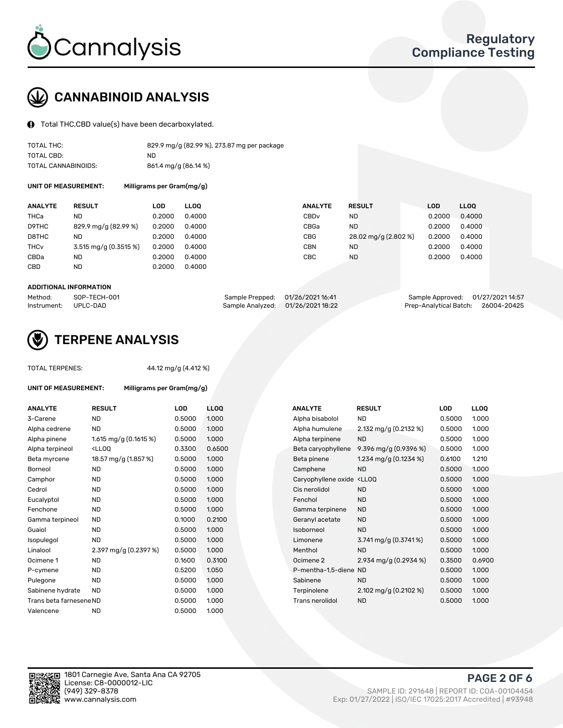

## CANNABINOID ANALYSIS

Total THC,CBD value(s) have been decarboxylated.

| TOTAL THC:          | 829.9 mg/g (82.99 %), 273.87 mg per package |
|---------------------|---------------------------------------------|
| TOTAL CBD:          | ND.                                         |
| TOTAL CANNABINOIDS: | 861.4 mg/g (86.14 %)                        |

UNIT OF MEASUREMENT: Milligrams per Gram(mg/g)

| <b>ANALYTE</b> | <b>RESULT</b>        | LOD.   | <b>LLOO</b> | <b>ANALYTE</b> | <b>RESULT</b>                      | LOD    | <b>LLOO</b> |
|----------------|----------------------|--------|-------------|----------------|------------------------------------|--------|-------------|
| ТНСа           | ND                   | 0.2000 | 0.4000      | CBDv           | ND                                 | 0.2000 | 0.4000      |
| D9THC          | 829.9 mg/g (82.99 %) | 0.2000 | 0.4000      | CBGa           | <b>ND</b>                          | 0.2000 | 0.4000      |
| <b>DOTLIO</b>  | $\overline{N}$       | n noon | 0.4000      | <b>CDC</b>     | $20.02 \times 10^{10}$ (2002 $N$ ) | n noon | 0.1000      |

| ANALYTE | <b>RESULT</b>         | LOD    | LLOO   | <b>ANALYTE</b> | RESULT               | LOD    | <b>LLOO</b> |
|---------|-----------------------|--------|--------|----------------|----------------------|--------|-------------|
| ТНСа    | ND                    | 0.2000 | 0.4000 | CBDv           | ND                   | 0.2000 | 0.4000      |
| D9THC   | 829.9 mg/g (82.99 %)  | 0.2000 | 0.4000 | CBGa           | ND                   | 0.2000 | 0.4000      |
| D8THC   | ND                    | 0.2000 | 0.4000 | CBG            | 28.02 mg/g (2.802 %) | 0.2000 | 0.4000      |
| THCv    | 3.515 mg/g (0.3515 %) | 0.2000 | 0.4000 | CBN            | ND                   | 0.2000 | 0.4000      |
| CBDa    | ND                    | 0.2000 | 0.4000 | CBC            | ND                   | 0.2000 | 0.4000      |

#### ADDITIONAL INFORMATION

| Method:     | SOP-TECH-001 | Sample Prepped: 01/26/2021 16:41 |                                   | Sample Approved: 01/27/2021 14:57  |  |
|-------------|--------------|----------------------------------|-----------------------------------|------------------------------------|--|
| Instrument: | UPLC-DAD     |                                  | Sample Analyzed: 01/26/2021 18:22 | Prep-Analytical Batch: 26004-20425 |  |



## TERPENE ANALYSIS

UNIT OF MEASUREMENT: Milligrams per Gram(mg/g)

CBD ND 0.2000 0.4000

| TUTAL TENFENES. |  |
|-----------------|--|
|                 |  |
|                 |  |

TOTAL TERPENES: 44.12 mg/g (4.412 %)

| <b>ANALYTE</b>          | <b>RESULT</b>                                                                                                                             | <b>LOD</b> | <b>LLOQ</b> | <b>ANALYTE</b>                                                                  | <b>RESULT</b>                      | <b>LOD</b> | <b>LLOQ</b> |
|-------------------------|-------------------------------------------------------------------------------------------------------------------------------------------|------------|-------------|---------------------------------------------------------------------------------|------------------------------------|------------|-------------|
| 3-Carene                | <b>ND</b>                                                                                                                                 | 0.5000     | 1.000       | Alpha bisabolol                                                                 | <b>ND</b>                          | 0.5000     | 1.000       |
| Alpha cedrene           | <b>ND</b>                                                                                                                                 | 0.5000     | 1.000       | Alpha humulene                                                                  | 2.132 mg/g (0.2132 %)              | 0.5000     | 1.000       |
| Alpha pinene            | 1.615 mg/g $(0.1615%)$                                                                                                                    | 0.5000     | 1.000       | Alpha terpinene                                                                 | <b>ND</b>                          | 0.5000     | 1.000       |
| Alpha terpineol         | <ll0q< td=""><td>0.3300</td><td>0.6500</td><td>Beta caryophyllene</td><td>9.396 mg/g (0.9396 %)</td><td>0.5000</td><td>1.000</td></ll0q<> | 0.3300     | 0.6500      | Beta caryophyllene                                                              | 9.396 mg/g (0.9396 %)              | 0.5000     | 1.000       |
| Beta myrcene            | 18.57 mg/g (1.857 %)                                                                                                                      | 0.5000     | 1.000       | Beta pinene                                                                     | 1.234 mg/g $(0.1234\%)$            | 0.6100     | 1.210       |
| Borneol                 | <b>ND</b>                                                                                                                                 | 0.5000     | 1.000       | Camphene                                                                        | <b>ND</b>                          | 0.5000     | 1.000       |
| Camphor                 | <b>ND</b>                                                                                                                                 | 0.5000     | 1.000       | Caryophyllene oxide <lloq< td=""><td></td><td>0.5000</td><td>1.000</td></lloq<> |                                    | 0.5000     | 1.000       |
| Cedrol                  | <b>ND</b>                                                                                                                                 | 0.5000     | 1.000       | Cis nerolidol                                                                   | <b>ND</b>                          | 0.5000     | 1.000       |
| Eucalyptol              | <b>ND</b>                                                                                                                                 | 0.5000     | 1.000       | Fenchol                                                                         | <b>ND</b>                          | 0.5000     | 1.000       |
| Fenchone                | <b>ND</b>                                                                                                                                 | 0.5000     | 1.000       | Gamma terpinene                                                                 | <b>ND</b>                          | 0.5000     | 1.000       |
| Gamma terpineol         | <b>ND</b>                                                                                                                                 | 0.1000     | 0.2100      | Geranyl acetate                                                                 | <b>ND</b>                          | 0.5000     | 1.000       |
| Guaiol                  | <b>ND</b>                                                                                                                                 | 0.5000     | 1.000       | Isoborneol                                                                      | <b>ND</b>                          | 0.5000     | 1.000       |
| Isopulegol              | <b>ND</b>                                                                                                                                 | 0.5000     | 1.000       | Limonene                                                                        | $3.741 \,\mathrm{mg/g}$ (0.3741 %) | 0.5000     | 1.000       |
| Linalool                | 2.397 mg/g (0.2397 %)                                                                                                                     | 0.5000     | 1.000       | Menthol                                                                         | <b>ND</b>                          | 0.5000     | 1.000       |
| Ocimene 1               | <b>ND</b>                                                                                                                                 | 0.1600     | 0.3100      | Ocimene 2                                                                       | 2.934 mg/g (0.2934 %)              | 0.3500     | 0.6900      |
| P-cymene                | <b>ND</b>                                                                                                                                 | 0.5200     | 1.050       | P-mentha-1,5-diene ND                                                           |                                    | 0.5000     | 1.000       |
| Pulegone                | <b>ND</b>                                                                                                                                 | 0.5000     | 1.000       | Sabinene                                                                        | <b>ND</b>                          | 0.5000     | 1.000       |
| Sabinene hydrate        | <b>ND</b>                                                                                                                                 | 0.5000     | 1.000       | Terpinolene                                                                     | 2.102 mg/g $(0.2102 \%)$           | 0.5000     | 1.000       |
| Trans beta farnesene ND |                                                                                                                                           | 0.5000     | 1.000       | <b>Trans nerolidol</b>                                                          | <b>ND</b>                          | 0.5000     | 1.000       |
| Valencene               | <b>ND</b>                                                                                                                                 | 0.5000     | 1.000       |                                                                                 |                                    |            |             |

| ANALYTE               | <b>RESULT</b>           | LOD    | <b>LLOO</b> |
|-----------------------|-------------------------|--------|-------------|
| Alpha bisabolol       | ND                      | 0.5000 | 1.000       |
| Alpha humulene        | 2.132 mg/g (0.2132 %)   | 0.5000 | 1.000       |
| Alpha terpinene       | ND.                     | 0.5000 | 1.000       |
| Beta caryophyllene    | 9.396 mg/g (0.9396 %)   | 0.5000 | 1.000       |
| Beta pinene           | 1.234 mg/g $(0.1234\%)$ | 0.6100 | 1.210       |
| Camphene              | <b>ND</b>               | 0.5000 | 1.000       |
| Caryophyllene oxide   | $<$ LLOO                | 0.5000 | 1.000       |
| Cis nerolidol         | <b>ND</b>               | 0.5000 | 1.000       |
| Fenchol               | <b>ND</b>               | 0.5000 | 1.000       |
| Gamma terpinene       | <b>ND</b>               | 0.5000 | 1.000       |
| Geranyl acetate       | <b>ND</b>               | 0.5000 | 1.000       |
| Isoborneol            | <b>ND</b>               | 0.5000 | 1.000       |
| Limonene              | 3.741 mg/g (0.3741%)    | 0.5000 | 1.000       |
| Menthol               | <b>ND</b>               | 0.5000 | 1.000       |
| Ocimene <sub>2</sub>  | 2.934 mg/g (0.2934 %)   | 0.3500 | 0.6900      |
| P-mentha-1,5-diene ND |                         | 0.5000 | 1.000       |
| Sabinene              | <b>ND</b>               | 0.5000 | 1.000       |
| Terpinolene           | 2.102 mg/g (0.2102 %)   | 0.5000 | 1.000       |
| Trans nerolidol       | <b>ND</b>               | 0.5000 | 1.000       |
|                       |                         |        |             |

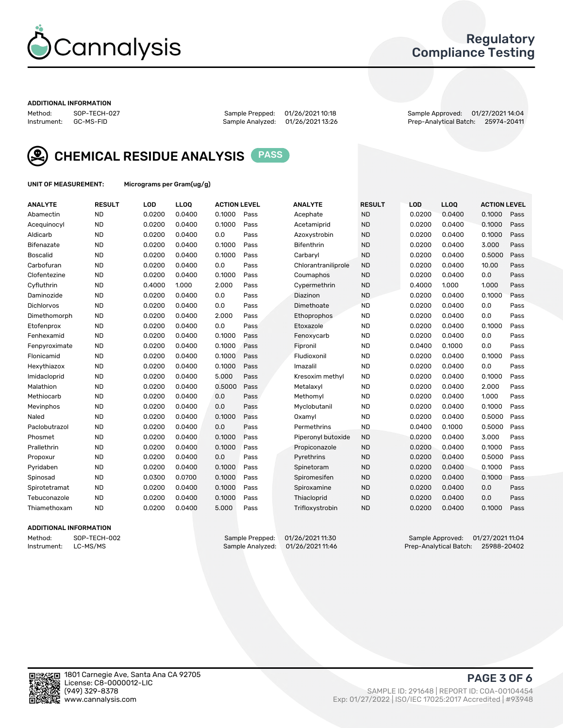

## Regulatory Compliance Testing

#### ADDITIONAL INFORMATION

Method: SOP-TECH-027 Sample Prepped: 01/26/2021 10:18 Sample Approved: 01/27/2021 14:04 Prep-Analytical Batch: 25974-20411



CHEMICAL RESIDUE ANALYSIS PASS

UNIT OF MEASUREMENT: Micrograms per Gram(ug/g)

| <b>ANALYTE</b>    | <b>RESULT</b> | LOD    | LLOQ   | <b>ACTION LEVEL</b> |      | <b>ANALYTE</b>      | <b>RESULT</b> | <b>LOD</b> | <b>LLOQ</b> | <b>ACTION LEVEL</b> |      |
|-------------------|---------------|--------|--------|---------------------|------|---------------------|---------------|------------|-------------|---------------------|------|
| Abamectin         | <b>ND</b>     | 0.0200 | 0.0400 | 0.1000              | Pass | Acephate            | <b>ND</b>     | 0.0200     | 0.0400      | 0.1000              | Pass |
| Acequinocyl       | <b>ND</b>     | 0.0200 | 0.0400 | 0.1000              | Pass | Acetamiprid         | <b>ND</b>     | 0.0200     | 0.0400      | 0.1000              | Pass |
| Aldicarb          | <b>ND</b>     | 0.0200 | 0.0400 | 0.0                 | Pass | Azoxystrobin        | <b>ND</b>     | 0.0200     | 0.0400      | 0.1000              | Pass |
| Bifenazate        | <b>ND</b>     | 0.0200 | 0.0400 | 0.1000              | Pass | <b>Bifenthrin</b>   | <b>ND</b>     | 0.0200     | 0.0400      | 3.000               | Pass |
| <b>Boscalid</b>   | <b>ND</b>     | 0.0200 | 0.0400 | 0.1000              | Pass | Carbarvl            | <b>ND</b>     | 0.0200     | 0.0400      | 0.5000              | Pass |
| Carbofuran        | <b>ND</b>     | 0.0200 | 0.0400 | 0.0                 | Pass | Chlorantraniliprole | <b>ND</b>     | 0.0200     | 0.0400      | 10.00               | Pass |
| Clofentezine      | <b>ND</b>     | 0.0200 | 0.0400 | 0.1000              | Pass | Coumaphos           | <b>ND</b>     | 0.0200     | 0.0400      | 0.0                 | Pass |
| Cyfluthrin        | <b>ND</b>     | 0.4000 | 1.000  | 2.000               | Pass | Cypermethrin        | <b>ND</b>     | 0.4000     | 1.000       | 1.000               | Pass |
| Daminozide        | <b>ND</b>     | 0.0200 | 0.0400 | 0.0                 | Pass | Diazinon            | <b>ND</b>     | 0.0200     | 0.0400      | 0.1000              | Pass |
| <b>Dichlorvos</b> | <b>ND</b>     | 0.0200 | 0.0400 | 0.0                 | Pass | Dimethoate          | <b>ND</b>     | 0.0200     | 0.0400      | 0.0                 | Pass |
| Dimethomorph      | <b>ND</b>     | 0.0200 | 0.0400 | 2.000               | Pass | <b>Ethoprophos</b>  | <b>ND</b>     | 0.0200     | 0.0400      | 0.0                 | Pass |
| Etofenprox        | <b>ND</b>     | 0.0200 | 0.0400 | 0.0                 | Pass | Etoxazole           | <b>ND</b>     | 0.0200     | 0.0400      | 0.1000              | Pass |
| Fenhexamid        | <b>ND</b>     | 0.0200 | 0.0400 | 0.1000              | Pass | Fenoxycarb          | <b>ND</b>     | 0.0200     | 0.0400      | 0.0                 | Pass |
| Fenpyroximate     | <b>ND</b>     | 0.0200 | 0.0400 | 0.1000              | Pass | Fipronil            | <b>ND</b>     | 0.0400     | 0.1000      | 0.0                 | Pass |
| Flonicamid        | <b>ND</b>     | 0.0200 | 0.0400 | 0.1000              | Pass | Fludioxonil         | <b>ND</b>     | 0.0200     | 0.0400      | 0.1000              | Pass |
| Hexythiazox       | <b>ND</b>     | 0.0200 | 0.0400 | 0.1000              | Pass | Imazalil            | <b>ND</b>     | 0.0200     | 0.0400      | 0.0                 | Pass |
| Imidacloprid      | <b>ND</b>     | 0.0200 | 0.0400 | 5.000               | Pass | Kresoxim methyl     | <b>ND</b>     | 0.0200     | 0.0400      | 0.1000              | Pass |
| Malathion         | <b>ND</b>     | 0.0200 | 0.0400 | 0.5000              | Pass | Metalaxyl           | <b>ND</b>     | 0.0200     | 0.0400      | 2.000               | Pass |
| Methiocarb        | <b>ND</b>     | 0.0200 | 0.0400 | 0.0                 | Pass | Methomyl            | <b>ND</b>     | 0.0200     | 0.0400      | 1.000               | Pass |
| Mevinphos         | <b>ND</b>     | 0.0200 | 0.0400 | 0.0                 | Pass | Myclobutanil        | <b>ND</b>     | 0.0200     | 0.0400      | 0.1000              | Pass |
| Naled             | <b>ND</b>     | 0.0200 | 0.0400 | 0.1000              | Pass | Oxamyl              | <b>ND</b>     | 0.0200     | 0.0400      | 0.5000              | Pass |
| Paclobutrazol     | <b>ND</b>     | 0.0200 | 0.0400 | 0.0                 | Pass | Permethrins         | <b>ND</b>     | 0.0400     | 0.1000      | 0.5000              | Pass |
| Phosmet           | <b>ND</b>     | 0.0200 | 0.0400 | 0.1000              | Pass | Piperonyl butoxide  | <b>ND</b>     | 0.0200     | 0.0400      | 3.000               | Pass |
| Prallethrin       | <b>ND</b>     | 0.0200 | 0.0400 | 0.1000              | Pass | Propiconazole       | <b>ND</b>     | 0.0200     | 0.0400      | 0.1000              | Pass |
| Propoxur          | <b>ND</b>     | 0.0200 | 0.0400 | 0.0                 | Pass | Pyrethrins          | <b>ND</b>     | 0.0200     | 0.0400      | 0.5000              | Pass |
| Pyridaben         | <b>ND</b>     | 0.0200 | 0.0400 | 0.1000              | Pass | Spinetoram          | <b>ND</b>     | 0.0200     | 0.0400      | 0.1000              | Pass |
| Spinosad          | <b>ND</b>     | 0.0300 | 0.0700 | 0.1000              | Pass | Spiromesifen        | <b>ND</b>     | 0.0200     | 0.0400      | 0.1000              | Pass |
| Spirotetramat     | <b>ND</b>     | 0.0200 | 0.0400 | 0.1000              | Pass | Spiroxamine         | <b>ND</b>     | 0.0200     | 0.0400      | 0.0                 | Pass |
| Tebuconazole      | <b>ND</b>     | 0.0200 | 0.0400 | 0.1000              | Pass | Thiacloprid         | <b>ND</b>     | 0.0200     | 0.0400      | 0.0                 | Pass |
| Thiamethoxam      | <b>ND</b>     | 0.0200 | 0.0400 | 5.000               | Pass | Trifloxystrobin     | <b>ND</b>     | 0.0200     | 0.0400      | 0.1000              | Pass |

### ADDITIONAL INFORMATION

Method: SOP-TECH-002 Sample Prepped: 01/26/2021 11:30 Sample Approved: 01/27/2021 11:04<br>Instrument: LC-MS/MS Sample Analyzed: 01/26/2021 11:46 Prep-Analytical Batch: 25988-20402 Prep-Analytical Batch: 25988-20402

PAGE 3 OF 6

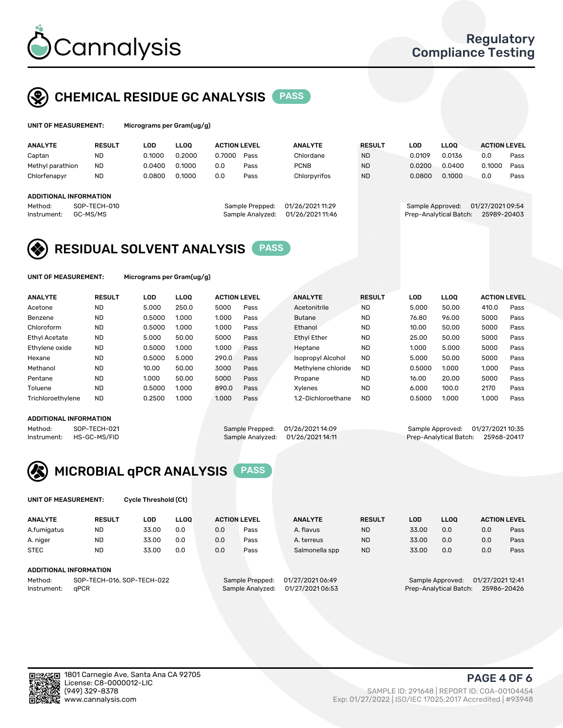

## CHEMICAL RESIDUE GC ANALYSIS PASS

| UNIT OF MEASUREMENT: | Micr |
|----------------------|------|
|                      |      |

ograms per Gram(ug/g<mark>)</mark>

| <b>ANALYTE</b>                | <b>RESULT</b> | LOD    | <b>LLOO</b> | <b>ACTION LEVEL</b> |                  | <b>ANALYTE</b>   | <b>RESULT</b> | LOD              | <b>LLOO</b>            | <b>ACTION LEVEL</b> |      |
|-------------------------------|---------------|--------|-------------|---------------------|------------------|------------------|---------------|------------------|------------------------|---------------------|------|
| Captan                        | <b>ND</b>     | 0.1000 | 0.2000      | 0.7000              | Pass             | Chlordane        | <b>ND</b>     | 0.0109           | 0.0136                 | 0.0                 | Pass |
| Methyl parathion              | <b>ND</b>     | 0.0400 | 0.1000      | 0.0                 | Pass             | <b>PCNB</b>      | <b>ND</b>     | 0.0200           | 0.0400                 | 0.1000              | Pass |
| Chlorfenapyr                  | <b>ND</b>     | 0.0800 | 0.1000      | 0.0                 | Pass             | Chlorpyrifos     | <b>ND</b>     | 0.0800           | 0.1000                 | 0.0                 | Pass |
|                               |               |        |             |                     |                  |                  |               |                  |                        |                     |      |
| <b>ADDITIONAL INFORMATION</b> |               |        |             |                     |                  |                  |               |                  |                        |                     |      |
| Method:                       | SOP-TECH-010  |        |             |                     | Sample Prepped:  | 01/26/2021 11:29 |               | Sample Approved: |                        | 01/27/2021 09:54    |      |
| Instrument:                   | GC-MS/MS      |        |             |                     | Sample Analyzed: | 01/26/2021 11:46 |               |                  | Prep-Analytical Batch: | 25989-20403         |      |
|                               |               |        |             |                     |                  |                  |               |                  |                        |                     |      |

## RESIDUAL SOLVENT ANALYSIS PASS

UNIT OF MEASUREMENT: Micrograms per Gram(ug/g)

| <b>ANALYTE</b>       | <b>RESULT</b> | LOD    | <b>LLOO</b> | <b>ACTION LEVEL</b> |      | <b>ANALYTE</b>           | <b>RESULT</b> | LOD    | LLOO  | <b>ACTION LEVEL</b> |      |
|----------------------|---------------|--------|-------------|---------------------|------|--------------------------|---------------|--------|-------|---------------------|------|
| Acetone              | <b>ND</b>     | 5.000  | 250.0       | 5000                | Pass | Acetonitrile             | <b>ND</b>     | 5.000  | 50.00 | 410.0               | Pass |
| Benzene              | <b>ND</b>     | 0.5000 | 1.000       | 1.000               | Pass | <b>Butane</b>            | <b>ND</b>     | 76.80  | 96.00 | 5000                | Pass |
| Chloroform           | <b>ND</b>     | 0.5000 | 1.000       | 1.000               | Pass | Ethanol                  | <b>ND</b>     | 10.00  | 50.00 | 5000                | Pass |
| <b>Ethyl Acetate</b> | <b>ND</b>     | 5.000  | 50.00       | 5000                | Pass | <b>Ethyl Ether</b>       | <b>ND</b>     | 25.00  | 50.00 | 5000                | Pass |
| Ethylene oxide       | <b>ND</b>     | 0.5000 | 1.000       | 1.000               | Pass | Heptane                  | <b>ND</b>     | 1.000  | 5.000 | 5000                | Pass |
| Hexane               | <b>ND</b>     | 0.5000 | 5.000       | 290.0               | Pass | <b>Isopropyl Alcohol</b> | <b>ND</b>     | 5.000  | 50.00 | 5000                | Pass |
| Methanol             | <b>ND</b>     | 10.00  | 50.00       | 3000                | Pass | Methylene chloride       | <b>ND</b>     | 0.5000 | 1.000 | 1.000               | Pass |
| Pentane              | <b>ND</b>     | 1.000  | 50.00       | 5000                | Pass | Propane                  | <b>ND</b>     | 16.00  | 20.00 | 5000                | Pass |
| Toluene              | <b>ND</b>     | 0.5000 | 1.000       | 890.0               | Pass | Xvlenes                  | <b>ND</b>     | 6.000  | 100.0 | 2170                | Pass |
| Trichloroethylene    | <b>ND</b>     | 0.2500 | 1.000       | 1.000               | Pass | 1.2-Dichloroethane       | <b>ND</b>     | 0.5000 | 1.000 | 1.000               | Pass |

### ADDITIONAL INFORMATION

Method: SOP-TECH-021 Sample Prepped: 01/26/2021 14:09 Sample Approved: 01/27/2021 10:35<br>Instrument: HS-GC-MS/FID Sample Analyzed: 01/26/2021 14:11 Prep-Analytical Batch: 25968-20417 Prep-Analytical Batch: 25968-20417



UNIT OF MEASUREMENT: Cycle Threshold (Ct)

| <b>ANALYTE</b>                        | <b>RESULT</b>          | LOD   | <b>LLOO</b> | <b>ACTION LEVEL</b> |                 | <b>ANALYTE</b>   | <b>RESULT</b> | <b>LOD</b>       | <b>LLOO</b> | <b>ACTION LEVEL</b> |      |
|---------------------------------------|------------------------|-------|-------------|---------------------|-----------------|------------------|---------------|------------------|-------------|---------------------|------|
| A.fumigatus                           | <b>ND</b>              | 33.00 | 0.0         | 0.0                 | Pass            | A. flavus        | <b>ND</b>     | 33.00            | 0.0         | 0.0                 | Pass |
| A. niger                              | <b>ND</b>              | 33.00 | 0.0         | 0.0                 | Pass            | A. terreus       | <b>ND</b>     | 33.00            | 0.0         | 0.0                 | Pass |
| <b>STEC</b>                           | <b>ND</b>              | 33.00 | 0.0         | 0.0                 | Pass            | Salmonella spp   | <b>ND</b>     | 33.00            | 0.0         | 0.0                 | Pass |
|                                       | ADDITIONAL INFORMATION |       |             |                     |                 |                  |               |                  |             |                     |      |
| SOP-TECH-016, SOP-TECH-022<br>Method: |                        |       |             |                     | Sample Prepped: | 01/27/2021 06:49 |               | Sample Approved: |             | 01/27/2021 12:41    |      |

Instrument: qPCR Sample Analyzed: 01/27/2021 06:53 Prep-Analytical Batch: 25986-20426

PAGE 4 OF 6

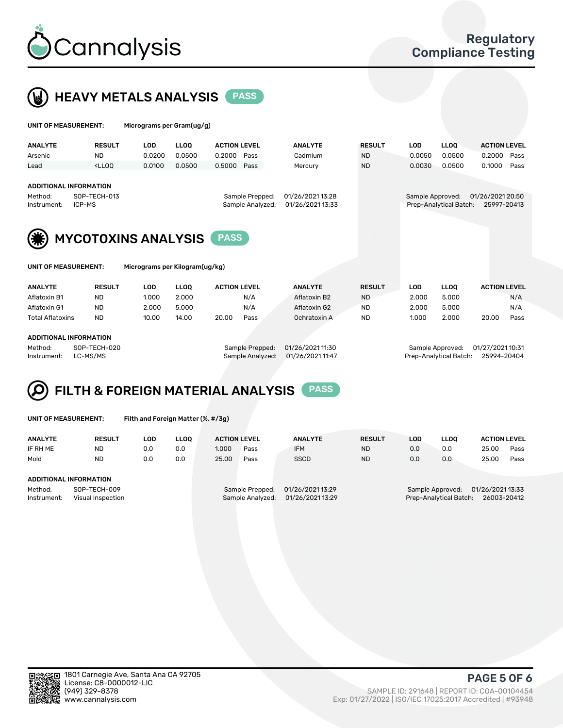

 $U$ UNIT OF MEASUREMENT: Micrograms per Gram(ug/g)



|                                                         |                                                                                                                                                                     | $1.000$ explains per erannities as |             |                                     |                                      |               |                  |                        |                                 |  |
|---------------------------------------------------------|---------------------------------------------------------------------------------------------------------------------------------------------------------------------|------------------------------------|-------------|-------------------------------------|--------------------------------------|---------------|------------------|------------------------|---------------------------------|--|
| <b>ANALYTE</b>                                          | <b>RESULT</b>                                                                                                                                                       | <b>LOD</b>                         | <b>LLOO</b> | <b>ACTION LEVEL</b>                 | <b>ANALYTE</b>                       | <b>RESULT</b> | <b>LOD</b>       | <b>LLOO</b>            | <b>ACTION LEVEL</b>             |  |
| Arsenic                                                 | <b>ND</b>                                                                                                                                                           | 0.0200                             | 0.0500      | 0.2000<br>Pass                      | Cadmium                              | <b>ND</b>     | 0.0050           | 0.0500                 | 0.2000<br>Pass                  |  |
| Lead                                                    | <lloo< td=""><td>0.0100</td><td>0.0500</td><td>0.5000<br/>Pass</td><td>Mercury</td><td><b>ND</b></td><td>0.0030</td><td>0.0500</td><td>0.1000<br/>Pass</td></lloo<> | 0.0100                             | 0.0500      | 0.5000<br>Pass                      | Mercury                              | <b>ND</b>     | 0.0030           | 0.0500                 | 0.1000<br>Pass                  |  |
| <b>ADDITIONAL INFORMATION</b><br>Method:<br>Instrument: | SOP-TECH-013<br>ICP-MS                                                                                                                                              |                                    |             | Sample Prepped:<br>Sample Analyzed: | 01/26/2021 13:28<br>01/26/2021 13:33 |               | Sample Approved: | Prep-Analytical Batch: | 01/26/2021 20:50<br>25997-20413 |  |
| <b>MYCOTOXINS ANALYSIS</b><br><b>PASS</b>               |                                                                                                                                                                     |                                    |             |                                     |                                      |               |                  |                        |                                 |  |
| UNIT OF MEASUREMENT:                                    |                                                                                                                                                                     | Micrograms per Kilogram(ug/kg)     |             |                                     |                                      |               |                  |                        |                                 |  |
| <b>ANALYTE</b>                                          | <b>RESULT</b>                                                                                                                                                       | <b>LOD</b>                         | <b>LLOO</b> | <b>ACTION LEVEL</b>                 | <b>ANALYTE</b>                       | <b>RESULT</b> | <b>LOD</b>       | <b>LLOQ</b>            | <b>ACTION LEVEL</b>             |  |
| Aflatoxin B1                                            | <b>ND</b>                                                                                                                                                           | 1.000                              | 2.000       | N/A                                 | Aflatoxin B2                         | <b>ND</b>     | 2.000            | 5.000                  | N/A                             |  |
| Aflatoxin G1                                            | <b>ND</b>                                                                                                                                                           | 2.000                              | 5.000       | N/A                                 | Aflatoxin G2                         | <b>ND</b>     | 2.000            | 5.000                  | N/A                             |  |

Total Aflatoxins ND 10.00 14.00 20.00 Pass Ochratoxin A ND 1.000 2.000 20.00 Pass

#### ADDITIONAL INFORMATION

Method: SOP-TECH-020 Sample Prepped: 01/26/2021 11:30 Sample Approved: 01/27/2021 10:31 Instrument: LC-MS/MS Sample Analyzed: 01/26/2021 11:47 Prep-Analytical Batch: 25994-20404

# FILTH & FOREIGN MATERIAL ANALYSIS PASS

UNIT OF MEASUREMENT: Filth and Foreign Matter (%, #/3g)

| <b>ANALYTE</b>                                              | <b>RESULT</b> | LOD | <b>LLOO</b> | <b>ACTION LEVEL</b>                                                         |      | <b>ANALYTE</b> | <b>RESULT</b>                                                                 | LOD | LLOO | <b>ACTION LEVEL</b> |      |
|-------------------------------------------------------------|---------------|-----|-------------|-----------------------------------------------------------------------------|------|----------------|-------------------------------------------------------------------------------|-----|------|---------------------|------|
| IF RH ME                                                    | <b>ND</b>     | 0.0 | 0.0         | 1.000                                                                       | Pass | <b>IFM</b>     | <b>ND</b>                                                                     | 0.0 | 0.0  | 25.00               | Pass |
| Mold                                                        | <b>ND</b>     | 0.0 | 0.0         | 25.00                                                                       | Pass | <b>SSCD</b>    | <b>ND</b>                                                                     | 0.0 | 0.0  | 25.00               | Pass |
| <b>ADDITIONAL INFORMATION</b>                               |               |     |             |                                                                             |      |                |                                                                               |     |      |                     |      |
| Method:<br>SOP-TECH-009<br>Instrument:<br>Visual Inspection |               |     |             | 01/26/2021 13:29<br>Sample Prepped:<br>01/26/2021 13:29<br>Sample Analyzed: |      |                | 01/26/2021 13:33<br>Sample Approved:<br>Prep-Analytical Batch:<br>26003-20412 |     |      |                     |      |